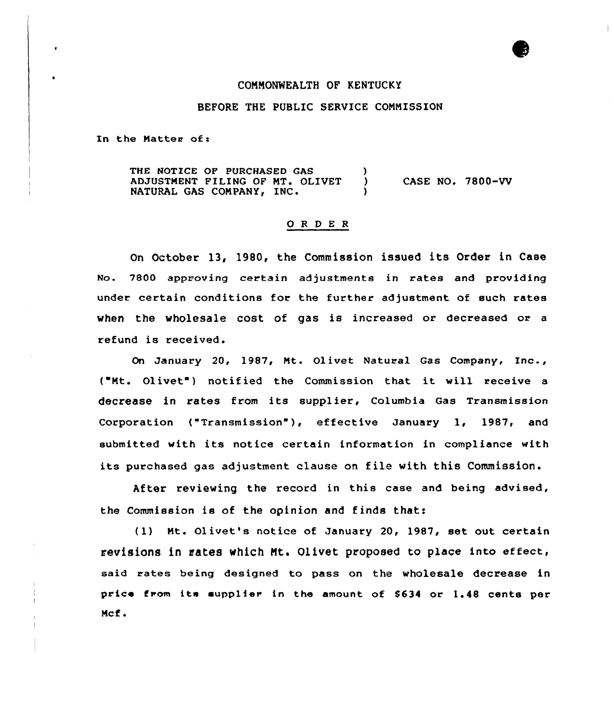### COMNONNEALTH OF KENTUCKY

#### BEFORE THE PUBLIC SERVICE COMMISSION

In the Matter of:

THE NOTICE OF PURCHASED GAS (abjustment filing of  $MT$ , olivet (a) ADJUSTMENT FILING OF MT. OLIVET ) CASE NO. 7800-VV<br>NATURAL GAS COMPANY, INC. )

#### 0 <sup>R</sup> <sup>D</sup> E <sup>R</sup>

On October 13, 1980, the Commission issued its Order in Case No. 7800 approving certain adjustments in rates and providing under certain conditions for the further adjustment of such rates when the wholesale cost of gas is increased or decreased or a refund is received.

On January 20, 1987, Mt. Olivet Natural Gas Company, Inc., ("Mt. Olivet") notified the Commission that it will receive a decrease in rates from its supplier, Columbia Gas Transmission Corporation ("Transmission"), effective January 1, 1987, and submitted with its notice certain information in compliance with its purchased gas adjustment clause on file with this Commission.

After reviewing the record in this case and being advised, the Commission is of the opinion and finds that:

(1) Mt. Olivet's notice of January 20, 1987, set out certain revisions in tates which Nt. Olivet proposed to place into effect, said rates being designed to pass on the wholesale decrease in price from its supplier in the amount of \$634 or 1.48 cents per Mcf.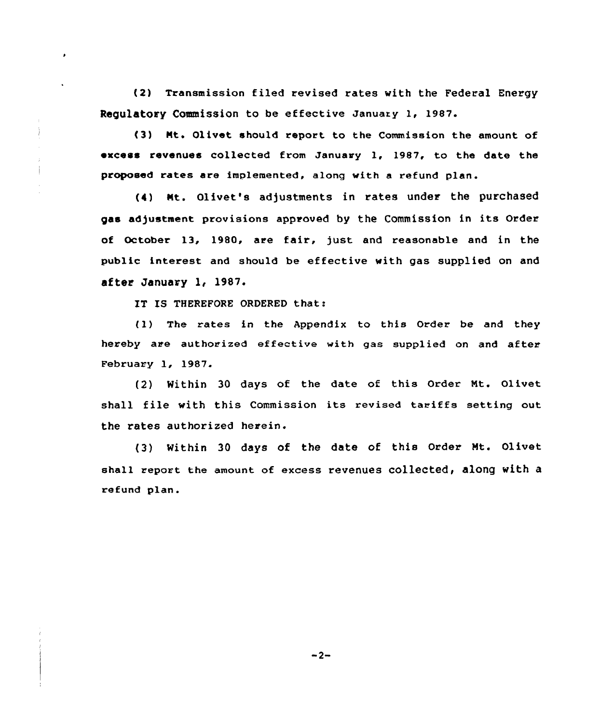(2) Transmission filed revised rates with the Federal Energy Regulatory Commission to be effective January 1, 1987.

(3) Nt. Olivet should report to the Commission the amount of excess revenues collected from January 1, 1987, to the date the proposed rates are implemented, along with a refund plan.

(4) Kt. Olivet's adjustments in rates under the purchased gas adjustment provisions approved by the Commission in its Order of October 13, 1980, are fair, just and reasonable and in the public interest and should be effective with gas supplied on and after January l, 1987.

IT IS THEREFORE ORDERED that:

 $\bullet$ 

(1) The rates in the Appendix to this Order be and they hereby are authorized effective with gas supplied on and after February 1, 1987.

(2) Within 30 days of the date of this Order Mt. Olivet shall file with this Commission its revised tariffs setting out the rates authorized herein.

(3) Within 30 days of the date of this Order Mt. Olivet shall report the amount of excess revenues collected, along with a refund plan.

 $-2-$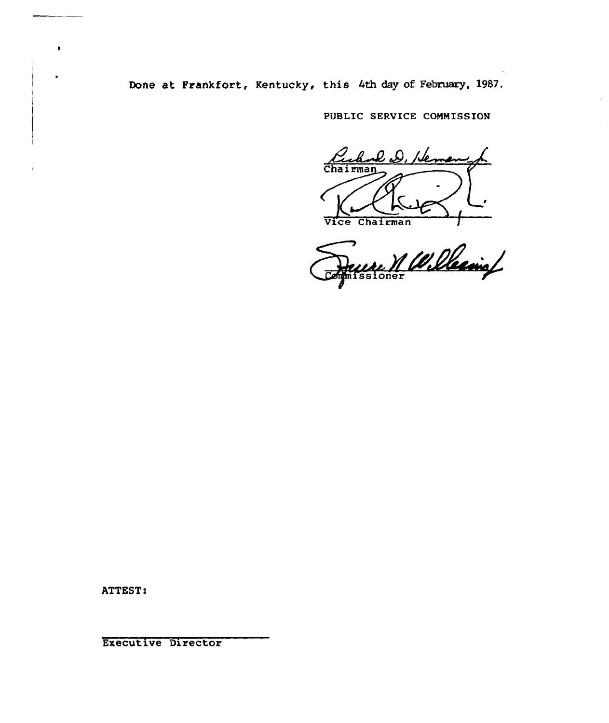Done at Frankfort, Kentucky, this 4th day of February, 1987.

PUBLIC SERVICE COMMISSION

l D, De Chairman Vice Chairman

Perce V. Willesing

ATTEST:

 $\bullet$ 

Executive Director